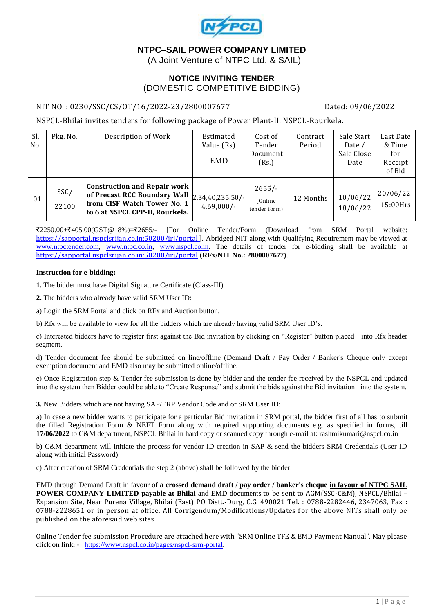

# **NTPC–SAIL POWER COMPANY LIMITED**

(A Joint Venture of NTPC Ltd. & SAIL)

### **NOTICE INVITING TENDER** (DOMESTIC COMPETITIVE BIDDING)

### NIT NO. : 0230/SSC/CS/OT/16/2022-23/2800007677 Dated: 09/06/2022

NSPCL-Bhilai invites tenders for following package of Power Plant-II, NSPCL-Rourkela.

| Sl.<br>No. | Pkg. No.      | Description of Work                                                                                                                   | Estimated<br>Value (Rs)<br><b>EMD</b> | Cost of<br>Tender<br>Document<br>(Rs.) | Contract<br>Period | Sale Start<br>Date /<br>Sale Close<br>Date | Last Date<br>& Time<br>for<br>Receipt<br>of Bid |
|------------|---------------|---------------------------------------------------------------------------------------------------------------------------------------|---------------------------------------|----------------------------------------|--------------------|--------------------------------------------|-------------------------------------------------|
| 01         | SSC/<br>22100 | <b>Construction and Repair work</b><br>of Precast RCC Boundary Wall<br>from CISF Watch Tower No. 1<br>to 6 at NSPCL CPP-II, Rourkela. | 2,34,40,235.50/-<br>$4,69,000/-$      | $2655/-$<br>(Online)<br>tender form)   | 12 Months          | 10/06/22<br>18/06/22                       | 20/06/22<br>$15:00$ Hrs                         |

 $\overline{\mathcal{K}}2250.00+\overline{\mathcal{K}}405.00(GST@18%)$ = $\overline{\mathcal{K}}2655/-$  [For Online Tender/Form (Download from SRM Portal website: <https://sapportal.nspclsrijan.co.in:50200/irj/portal> ]. Abridged NIT along with Qualifying Requirement may be viewed at [www.ntpctender.com,](http://www.ntpctender.com/) [www.ntpc.co.in,](http://www.ntpc.co.in/) [www.nspcl.co.in.](http://www.nspcl.co.in/) The details of tender for e-bidding shall be available at <https://sapportal.nspclsrijan.co.in:50200/irj/portal> **(RFx/NIT No.: 2800007677)**.

#### **Instruction for e-bidding:**

**1.** The bidder must have Digital Signature Certificate (Class-III).

**2.** The bidders who already have valid SRM User ID:

a) Login the SRM Portal and click on RFx and Auction button.

b) Rfx will be available to view for all the bidders which are already having valid SRM User ID's.

c) Interested bidders have to register first against the Bid invitation by clicking on "Register" button placed into Rfx header segment.

d) Tender document fee should be submitted on line/offline (Demand Draft / Pay Order / Banker's Cheque only except exemption document and EMD also may be submitted online/offline.

e) Once Registration step & Tender fee submission is done by bidder and the tender fee received by the NSPCL and updated into the system then Bidder could be able to "Create Response" and submit the bids against the Bid invitation into the system.

**3.** New Bidders which are not having SAP/ERP Vendor Code and or SRM User ID:

a) In case a new bidder wants to participate for a particular Bid invitation in SRM portal, the bidder first of all has to submit the filled Registration Form & NEFT Form along with required supporting documents e.g. as specified in forms, till **17/06/2022** to C&M department, NSPCL Bhilai in hard copy or scanned copy through e-mail at: rashmikumari@nspcl.co.in

b) C&M department will initiate the process for vendor ID creation in SAP & send the bidders SRM Credentials (User ID along with initial Password)

c) After creation of SRM Credentials the step 2 (above) shall be followed by the bidder.

EMD through Demand Draft in favour of **a crossed demand draft / pay order / banker's cheque in favour of NTPC SAIL POWER COMPANY LIMITED payable at Bhilai** and EMD documents to be sent to AGM(SSC-C&M), NSPCL/Bhilai – Expansion Site, Near Purena Village, Bhilai (East) PO Distt.-Durg, C.G. 490021 Tel. : 0788-2282446, 2347063, Fax : 0788-2228651 or in person at office. All Corrigendum/Modifications/Updates for the above NITs shall only be published on the aforesaid web sites.

Online Tender fee submission Procedure are attached here with "SRM Online TFE & EMD Payment Manual". May please click on link: - [https://www.nspcl.co.in/pages/nspcl-srm-portal.](https://www.nspcl.co.in/pages/nspcl-srm-portal)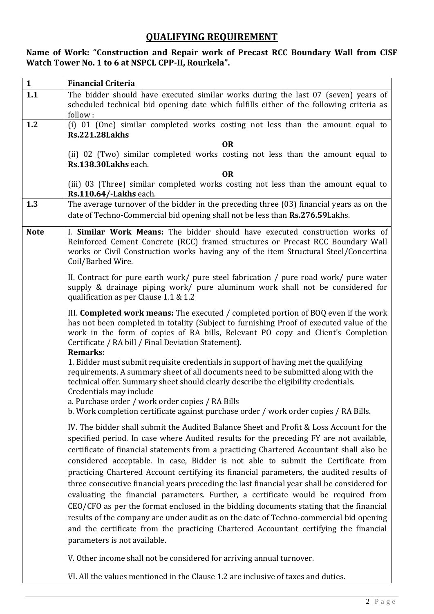# **QUALIFYING REQUIREMENT**

### **Name of Work: "Construction and Repair work of Precast RCC Boundary Wall from CISF Watch Tower No. 1 to 6 at NSPCL CPP-II, Rourkela".**

| $\mathbf{1}$ | <b>Financial Criteria</b>                                                                                                                                                                                                                                                                                                                                                                                                                                                                                                                                                                                                                                                                                                                                                                                                                                                                                                                                         |  |  |
|--------------|-------------------------------------------------------------------------------------------------------------------------------------------------------------------------------------------------------------------------------------------------------------------------------------------------------------------------------------------------------------------------------------------------------------------------------------------------------------------------------------------------------------------------------------------------------------------------------------------------------------------------------------------------------------------------------------------------------------------------------------------------------------------------------------------------------------------------------------------------------------------------------------------------------------------------------------------------------------------|--|--|
| 1.1          | The bidder should have executed similar works during the last 07 (seven) years of<br>scheduled technical bid opening date which fulfills either of the following criteria as<br>follow:                                                                                                                                                                                                                                                                                                                                                                                                                                                                                                                                                                                                                                                                                                                                                                           |  |  |
| 1.2          | (i) 01 (One) similar completed works costing not less than the amount equal to<br><b>Rs.221.28Lakhs</b><br><b>OR</b>                                                                                                                                                                                                                                                                                                                                                                                                                                                                                                                                                                                                                                                                                                                                                                                                                                              |  |  |
|              | (ii) 02 (Two) similar completed works costing not less than the amount equal to<br>Rs.138.30Lakhs each.                                                                                                                                                                                                                                                                                                                                                                                                                                                                                                                                                                                                                                                                                                                                                                                                                                                           |  |  |
|              | <b>OR</b><br>(iii) 03 (Three) similar completed works costing not less than the amount equal to<br><b>Rs.110.64/-Lakhs each.</b>                                                                                                                                                                                                                                                                                                                                                                                                                                                                                                                                                                                                                                                                                                                                                                                                                                  |  |  |
| 1.3          | The average turnover of the bidder in the preceding three (03) financial years as on the<br>date of Techno-Commercial bid opening shall not be less than Rs.276.59Lakhs.                                                                                                                                                                                                                                                                                                                                                                                                                                                                                                                                                                                                                                                                                                                                                                                          |  |  |
| <b>Note</b>  | I. Similar Work Means: The bidder should have executed construction works of<br>Reinforced Cement Concrete (RCC) framed structures or Precast RCC Boundary Wall<br>works or Civil Construction works having any of the item Structural Steel/Concertina<br>Coil/Barbed Wire.                                                                                                                                                                                                                                                                                                                                                                                                                                                                                                                                                                                                                                                                                      |  |  |
|              | II. Contract for pure earth work/ pure steel fabrication / pure road work/ pure water<br>supply & drainage piping work/ pure aluminum work shall not be considered for<br>qualification as per Clause 1.1 & 1.2                                                                                                                                                                                                                                                                                                                                                                                                                                                                                                                                                                                                                                                                                                                                                   |  |  |
|              | III. Completed work means: The executed / completed portion of BOQ even if the work<br>has not been completed in totality (Subject to furnishing Proof of executed value of the<br>work in the form of copies of RA bills, Relevant PO copy and Client's Completion<br>Certificate / RA bill / Final Deviation Statement).<br><b>Remarks:</b>                                                                                                                                                                                                                                                                                                                                                                                                                                                                                                                                                                                                                     |  |  |
|              | 1. Bidder must submit requisite credentials in support of having met the qualifying<br>requirements. A summary sheet of all documents need to be submitted along with the<br>technical offer. Summary sheet should clearly describe the eligibility credentials.<br>Credentials may include                                                                                                                                                                                                                                                                                                                                                                                                                                                                                                                                                                                                                                                                       |  |  |
|              | a. Purchase order / work order copies / RA Bills<br>b. Work completion certificate against purchase order / work order copies / RA Bills.                                                                                                                                                                                                                                                                                                                                                                                                                                                                                                                                                                                                                                                                                                                                                                                                                         |  |  |
|              | IV. The bidder shall submit the Audited Balance Sheet and Profit & Loss Account for the<br>specified period. In case where Audited results for the preceding FY are not available,<br>certificate of financial statements from a practicing Chartered Accountant shall also be<br>considered acceptable. In case, Bidder is not able to submit the Certificate from<br>practicing Chartered Account certifying its financial parameters, the audited results of<br>three consecutive financial years preceding the last financial year shall be considered for<br>evaluating the financial parameters. Further, a certificate would be required from<br>CEO/CFO as per the format enclosed in the bidding documents stating that the financial<br>results of the company are under audit as on the date of Techno-commercial bid opening<br>and the certificate from the practicing Chartered Accountant certifying the financial<br>parameters is not available. |  |  |
|              | V. Other income shall not be considered for arriving annual turnover.                                                                                                                                                                                                                                                                                                                                                                                                                                                                                                                                                                                                                                                                                                                                                                                                                                                                                             |  |  |
|              | VI. All the values mentioned in the Clause 1.2 are inclusive of taxes and duties.                                                                                                                                                                                                                                                                                                                                                                                                                                                                                                                                                                                                                                                                                                                                                                                                                                                                                 |  |  |